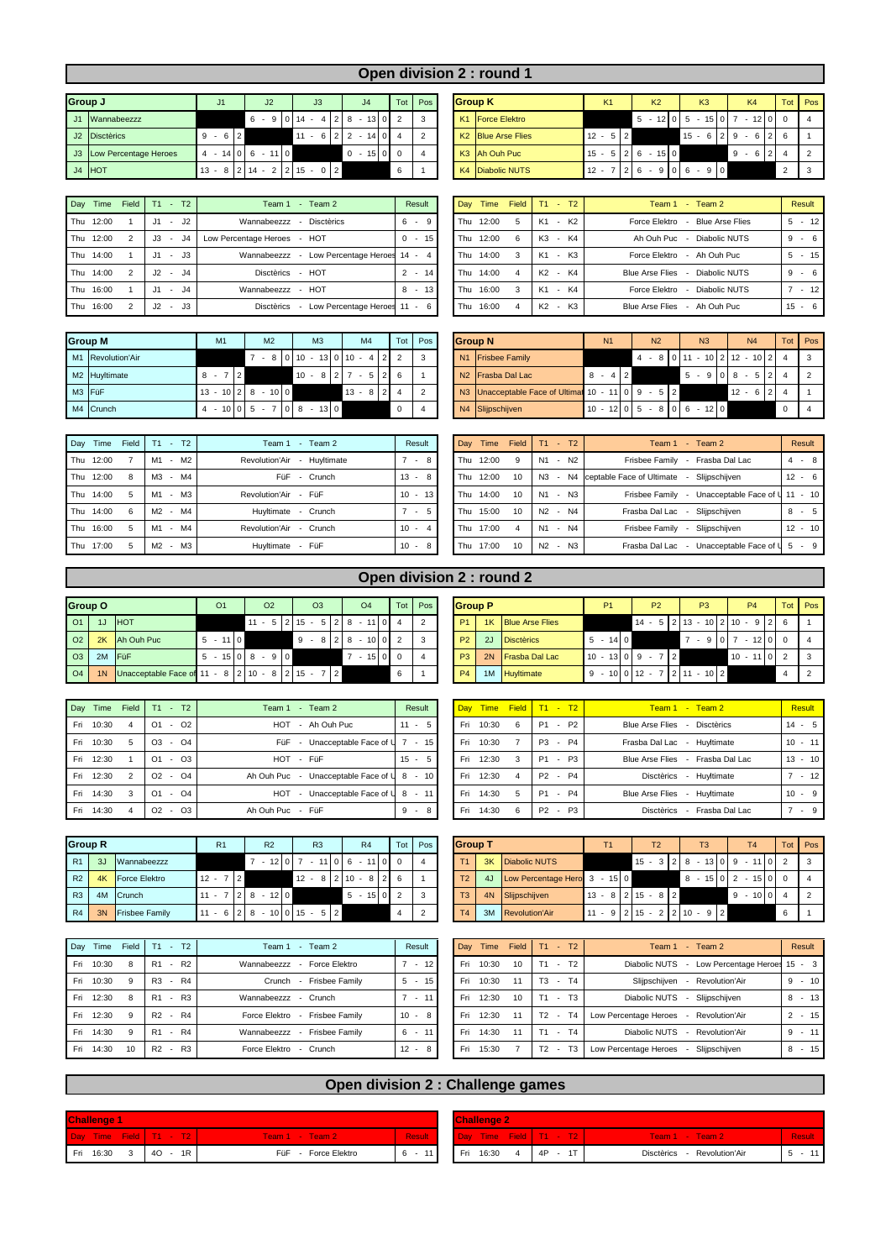## **Open division 2 : round 1**

| <b>Group J</b> |                          | J1            | J <sub>2</sub> | J3                     | J <sub>4</sub>     |             | Tot Pos | <b>Group K</b>                 | K1          | K <sub>2</sub> | K <sub>3</sub>  | K <sub>4</sub> | Tot Pos  |                |
|----------------|--------------------------|---------------|----------------|------------------------|--------------------|-------------|---------|--------------------------------|-------------|----------------|-----------------|----------------|----------|----------------|
|                | J1 Wannabeezzz           |               | 6              | $9 \mid 0 \mid 14$ -   | 8 ا ،<br>$-13$ 0 2 |             |         | K1 Force Elektro               |             | $-12$ 0 5<br>5 | $-15$ 0 7       | $-12$ 0 0      |          | $\frac{1}{4}$  |
|                | J2 Disctèrics            | $-6$  2<br>9  |                | $11 - 6$   2   2       | 141                | $0\vert 4$  |         | K <sub>2</sub> Blue Arse Flies | $12 -$<br>ь |                | $15 -$<br>6 2 9 | $-6$           | 216      |                |
|                | J3 Low Percentage Heroes | 14 0 6<br>4 - | $-110$         |                        | $0 - 15$           | $0\sqrt{0}$ |         | K3 Ah Ouh Puc                  | 15          | $-15$   0<br>6 |                 | $9 - 6$        |          | $\overline{2}$ |
|                | $J4$ HOT                 | $13 -$<br>8   | $14 -$         | 2 <br>2 15<br>$\Omega$ |                    | 6           |         | K4 Diabolic NUTS               | 12          | 90             | 900<br>6        |                | $\Omega$ | $\vert$ 3      |

| Day | Time      | Field T1 -     |     | T2          | Team 1<br>Team 2<br>$\sim$                    | Result   | Day | Time      |   |                | Field T1 - T2 | Team 1 - Team 2                         | Resul   |
|-----|-----------|----------------|-----|-------------|-----------------------------------------------|----------|-----|-----------|---|----------------|---------------|-----------------------------------------|---------|
|     | Thu 12:00 |                | J1  | - J2        | Wannabeezzz<br>Disctèrics                     | $6 - 9$  |     | Thu 12:00 | 5 | K1             | - K2          | Force Elektro<br>- Blue Arse Flies      | $5 - 1$ |
|     | Thu 12:00 | $\overline{2}$ |     | J4          | Low Percentage Heroes - HOT                   | $0 - 15$ |     | Thu 12:00 | 6 | K <sub>3</sub> | - K4          | Ah Ouh Puc<br>- Diabolic NUTS           | $9 -$   |
|     | Thu 14:00 |                | J1  | $-$ J3 $-$  | - Low Percentage Heroes 14 - 4<br>Wannabeezzz |          |     | Thu 14:00 | 3 | K1             | - K3          | Force Elektro<br>- Ah Ouh Puc           | $5 - 1$ |
|     | Thu 14:00 | 2              | .12 | $ \sqrt{4}$ | Disctèrics - HOT                              | $2 - 14$ |     | Thu 14:00 | 4 | K2             | - K4          | Diabolic NUTS<br><b>Blue Arse Flies</b> | $9 -$   |
|     | Thu 16:00 |                |     | - J4        | Wannabeezzz - HOT                             | $8 - 13$ |     | Thu 16:00 | 3 | K1             | - K4          | Diabolic NUTS<br>Force Elektro          |         |
|     | Thu 16:00 |                | 12  | - J3        | Disctèrics<br>- Low Percentage Heroes 11 - 6  |          |     | Thu 16:00 | 4 |                | K2 - K3       | - Ah Ouh Puc<br><b>Blue Arse Flies</b>  | $15 -$  |

| Day Time  | Field          | T1  | T2<br>$\sim$   | Team 2<br>Team 1<br>$\sim$           | Result   |  | Dav | Time      | Field | $T1 - T2$              | $-$ Team 2<br>Team 1                    | Result     |
|-----------|----------------|-----|----------------|--------------------------------------|----------|--|-----|-----------|-------|------------------------|-----------------------------------------|------------|
| Thu 12:00 |                | .11 | - J2           | <b>Disctèrics</b><br>Wannabeezzz     | $6 - 9$  |  | Thu | 12:00     | 5     | $-K2$<br>K1            | Force Elektro<br><b>Blue Arse Flies</b> | $-12$<br>5 |
| Thu 12:00 | 2              | J3  | J <sub>4</sub> | Low Percentage Heroes<br>- HOT       | $0 - 15$ |  | Thu | 12:00     | 6     | - K4<br>K <sub>3</sub> | Ah Ouh Puc<br>Diabolic NUTS<br>$\sim$   | $-6$<br>9  |
| Thu 14:00 |                | J1  | - J3           | Low Percentage Heroes<br>Wannabeezzz | $14 - 4$ |  |     | Thu 14:00 | 3     | $-K3$<br>K1            | Force Elektro<br>- Ah Ouh Puc           | $-15$<br>5 |
| Thu 14:00 | $\overline{2}$ | .12 | - J4           | Disctèrics - HOT                     | $2 - 14$ |  | Thu | 14:00     | 4     | - K4<br>K2             | <b>Blue Arse Flies</b><br>Diabolic NUTS | 9<br>$-6$  |
| Thu 16:00 |                | .11 | - J4           | $-$ HOT<br>Wannabeezzz               | $8 - 13$ |  | Thu | 16:00     | 3     | - K4<br>K1             | Force Elektro<br>Diabolic NUTS          | $-12$      |
| Thu 16:00 |                | J2  | $ J3$          | Disctèrics<br>Low Percentage Heroes  | $11 - 6$ |  | Thu | 16:00     | 4     | - K3<br>K2             | Ah Ouh Puc<br><b>Blue Arse Flies</b>    | $-6$<br>15 |

|        | <b>Group M</b>    | M1  |                | M <sub>2</sub>     | M <sub>3</sub>           | M <sub>4</sub> |            |                         | Tot | Pos |                | <b>Group N</b>                                    | N <sub>1</sub> | N <sub>2</sub>        |  | N <sub>3</sub> | N <sub>4</sub>                  |          | Tot Pos |
|--------|-------------------|-----|----------------|--------------------|--------------------------|----------------|------------|-------------------------|-----|-----|----------------|---------------------------------------------------|----------------|-----------------------|--|----------------|---------------------------------|----------|---------|
|        | M1 Revolution'Air |     |                |                    | $-810110 - 1310110 - 42$ |                |            |                         |     |     | N <sub>1</sub> | <b>Frisbee Family</b>                             |                |                       |  |                | $4 - 8 0 11 - 10 2 12 - 10 2 4$ |          |         |
|        | M2 Huyltimate     | 8 - | $\overline{2}$ |                    | $10 - 8$   2   7         |                | $5 \mid 2$ |                         |     |     |                | N <sub>2</sub> Frasba Dal Lac                     | $8 - 412$      |                       |  |                | $5 - 91018 - 512$               |          |         |
| M3 FüF |                   |     |                | $13 - 1028 - 100$  |                          | $13 - 8$   2   |            |                         |     |     |                | N3 Unacceptable Face of Ultimat 10 - 11 0 9 - 5 2 |                |                       |  |                | $12 - 6$   2                    |          |         |
|        | M4 Crunch         |     |                | $-10$   0   5 $-7$ | $-1300$<br>$\sqrt{8}$    |                |            | $\overline{\mathbf{0}}$ |     |     |                | N4 Slijpschijven                                  |                | $10 - 121015 - 81016$ |  | $-12$ 0        |                                 | $\Omega$ |         |

| Day       | Time | Field | T2<br>Т1<br>. .    | Team 2<br>Team 1<br>$\sim$  | Result      | Day | Time      | Field | T1             | $- T2$           | Team 2<br>Team 1<br><b>Contract</b>              | Result    |
|-----------|------|-------|--------------------|-----------------------------|-------------|-----|-----------|-------|----------------|------------------|--------------------------------------------------|-----------|
| Thu 12:00 |      |       | - M2<br>M1         | Revolution'Air - Huyltimate | - 8         | Thu | 12:00     |       | N1             | - N <sub>2</sub> | Frasba Dal Lac<br>Frisbee Family                 | $4 - 8$   |
| Thu 12:00 |      | 8     | - M4<br>MЗ         | FüF<br>Crunch<br>۰.         | $13 -$<br>8 |     | Thu 12:00 | 10    | N <sub>3</sub> |                  | Slijpschijven<br>- N4 ceptable Face of Ultimate  | $12 - 6$  |
| Thu 14:00 |      | 5     | $-M3$<br>M1        | Revolution'Air - FüF        | $10 - 13$   | Thu | 14:00     | 10    | N <sub>1</sub> | $- N3$           | Unacceptable Face of U 11 - 10<br>Frisbee Family |           |
| Thu 14:00 |      | 6     | M2 - M4            | Huyltimate - Crunch         | 5<br>$\sim$ | Thu | 15:00     | 10    | N <sub>2</sub> | - N4             | Frasba Dal Lac<br>Slijpschijven                  | $8 - 5$   |
| Thu 16:00 |      | 5     | M4<br>М1<br>$\sim$ | Revolution'Air<br>- Crunch  | $10 -$      |     | Thu 17:00 |       | N <sub>1</sub> | - N4             | Slijpschijven<br>Frisbee Family                  | $12 - 10$ |
| Thu 17:00 |      | -5    | M2 - M3            | Huyltimate<br>- FüF         | $10 - 8$    | Thu | 17:00     | 10    | N <sub>2</sub> | $- N3$           | Unacceptable Face of U<br>Frasba Dal Lac         | $5 - 9$   |

| <b>Group N</b> |                                           |    | <b>N1</b> |                |   | N <sub>2</sub> |           |   | N <sub>3</sub>           |        |          |                             |   | N <sub>4</sub> | Tot | Pos |
|----------------|-------------------------------------------|----|-----------|----------------|---|----------------|-----------|---|--------------------------|--------|----------|-----------------------------|---|----------------|-----|-----|
| N1             | <b>Frisbee Family</b>                     |    |           |                | 4 | $-8$           |           |   |                          |        |          | $11 - 10$   2   12 - 10   2 |   |                |     | 3   |
| N2             | <b>Frasba Dal Lac</b>                     | 8  | 4<br>٠    | $\overline{2}$ |   |                |           | 5 | $\overline{\phantom{a}}$ | 9      | $\Omega$ | 8                           | ÷ | 5              |     | 2   |
|                | N3 Unacceptable Face of Ultimat 10 - 11 0 |    |           |                |   |                | $9 - 512$ |   |                          |        |          | $12 -$                      |   | 6              |     |     |
| N4             | Slijpschijven                             | 10 | $-1210$   |                |   | $5 - 8$        |           | 6 | $\sim$                   | $12$ 0 |          |                             |   |                |     |     |

| Dav | Time      | Field          | T <sub>1</sub> |        | $- T2$         | Team 1<br>- Team $2$                                        |    | Result                   |           |
|-----|-----------|----------------|----------------|--------|----------------|-------------------------------------------------------------|----|--------------------------|-----------|
|     | Thu 12:00 | 9              | N <sub>1</sub> | $\sim$ | N <sub>2</sub> | Frasba Dal Lac<br>Frisbee Family<br>$\sim$                  | 4  | ٠                        | - 8       |
|     | Thu 12:00 | 10             |                |        | N3 - N4        | ceptable Face of Ultimate - Slijpschijven                   | 12 | ٠                        | - 6       |
|     | Thu 14:00 | 10             |                |        | N1 - N3        | Frisbee Family - Unacceptable Face of U 11 - 10             |    |                          |           |
|     | Thu 15:00 | 10             | N <sub>2</sub> | $\sim$ | N <sub>4</sub> | Frasba Dal Lac<br>Slijpschijven<br>$\overline{\phantom{a}}$ | 8  | ٠                        | - 5       |
|     | Thu 17:00 | $\overline{4}$ |                |        | N1 - N4        | Slijpschijven<br>Frisbee Family<br>$\overline{\phantom{a}}$ |    |                          | $12 - 10$ |
| Thu | 17:00     | 10             | N <sub>2</sub> | ٠      | N3             | Frasba Dal Lac - Unacceptable Face of U                     | 5  | $\overline{\phantom{a}}$ | - 9       |

 $P4$  1M Huyltimate 9 - 10 0 12 - 7 2 11 - 10 2

## **Open division 2 : round 2**

|                 | <b>Group O</b> |                                                          |  | O <sub>1</sub> |  | O <sub>2</sub>             |  | O <sub>3</sub> |     | O <sub>4</sub>                 |  |     | Tot Pos |  | <b>Group P</b> |  |                    | P <sub>1</sub> |  | P <sub>2</sub>                              |  | P <sub>3</sub> |  | <b>P4</b>          |  | Tot Pos                   |  |
|-----------------|----------------|----------------------------------------------------------|--|----------------|--|----------------------------|--|----------------|-----|--------------------------------|--|-----|---------|--|----------------|--|--------------------|----------------|--|---------------------------------------------|--|----------------|--|--------------------|--|---------------------------|--|
| $\overline{O1}$ |                | <b>IHOT</b>                                              |  |                |  |                            |  |                |     | $11 - 5 2 15 - 5 2 8 - 11 0 $  |  |     |         |  | D <sub>1</sub> |  | 1K Blue Arse Flies |                |  | $14 - 5$   2   13 - 10   2   10 - 9   2   6 |  |                |  |                    |  |                           |  |
| $\overline{O2}$ |                | 2K Ah Ouh Puc                                            |  | $5 - 110$      |  |                            |  |                |     | $9 - 8$   2   8 $-$ 10   0   2 |  |     |         |  | P <sub>2</sub> |  | 2J Disctèrics      | $5 - 14$ 0     |  |                                             |  |                |  | $-910$ 7 $-1210$ 0 |  | $\vert$ 4                 |  |
| $\overline{O3}$ | 2M             | <b>IFüF</b>                                              |  |                |  | $5 - 15$   0   8 $- 9$   0 |  |                |     | $-1500$                        |  |     |         |  | P3             |  | 2N Frasba Dal Lac  |                |  | $10 - 131019 -$                             |  |                |  | $10 - 110$ 2       |  | $\overline{\phantom{a}3}$ |  |
| O4              |                | 1N   Unacceptable Face of 11 - 8   2   10 - 8   2   15 - |  |                |  |                            |  |                | 7 2 |                                |  | - 6 |         |  | <b>P4</b>      |  | 1M Huyltimate      |                |  | $9 - 10$ 0 12 - 7 2 11                      |  | $-10$   2      |  |                    |  | $\frac{1}{2}$             |  |

| Day | Time      | Field          | T2<br>$T1 -$                  | Team 2<br>Team 1<br>$\sim$                 | Result       |     |       |   | Day Time Field T1 - T2         | Team 1 - Team 2                             | Result    |
|-----|-----------|----------------|-------------------------------|--------------------------------------------|--------------|-----|-------|---|--------------------------------|---------------------------------------------|-----------|
|     | Fri 10:30 | 4              | $-$ 02 $+$<br>O <sub>1</sub>  | <b>HOT</b><br>- Ah Ouh Puc                 | $11 -$<br>-5 | Fri | 10:30 | 6 | <b>P2</b><br>P1 -              | <b>Disctèrics</b><br><b>Blue Arse Flies</b> | $14 - 5$  |
|     | Fri 10:30 | 5              | $ \Omega$ 4<br>O <sub>3</sub> | Unacceptable Face of U 7 - 15<br>FüF       |              | Fri | 10:30 |   | $-$ P4<br><b>P3</b>            | Frasba Dal Lac - Huyltimate                 | $10 - 11$ |
|     | Fri 12:30 |                | $ O3$<br>O <sub>1</sub>       | <b>HOT</b><br>- FüF                        | $15 - 5$     | Fri | 12:30 |   | P1 - P3                        | <b>Blue Arse Flies</b><br>Frasba Dal Lac    | $13 - 10$ |
|     | Fri 12:30 | $\overline{2}$ | $O2 - O4$                     | Ah Ouh Puc - Unacceptable Face of U 8 - 10 |              | Fri | 12:30 |   | P2 - P4                        | <b>Disctèrics</b><br>- Huyltimate           | $-12$     |
|     | Fri 14:30 | 3              | $ \Omega$ 4<br>O <sub>1</sub> | Unacceptable Face of U 8 - 11<br>HOT       |              | Fri | 14:30 | 5 | <b>P1</b><br><b>P4</b>         | <b>Blue Arse Flies</b><br>- Huyltimate      | $10 - 9$  |
|     | Fri 14:30 | 4              | - 03<br>O <sub>2</sub>        | Ah Ouh Puc - FüF                           | $9 - 8$      | Fri | 14:30 | 6 | P3<br>P <sub>2</sub><br>$\sim$ | <b>Disctèrics</b><br>Frasba Dal Lac         | - 9       |

| <b>Group R</b> |    |                       | R <sub>1</sub>                         | R <sub>2</sub> | R <sub>3</sub>                            |  | R4           | Tot I          | Pos | <b>Group T</b> |                                 | T <sub>1</sub> |                                                                 | T <sub>3</sub> |  | T4                                        | Tot Pos |                           |
|----------------|----|-----------------------|----------------------------------------|----------------|-------------------------------------------|--|--------------|----------------|-----|----------------|---------------------------------|----------------|-----------------------------------------------------------------|----------------|--|-------------------------------------------|---------|---------------------------|
| <b>R1</b>      | 3J | Wannabeezzz           |                                        |                | $-12$   0   7 $-11$   0   6 $-11$   0   0 |  |              |                |     |                | 3K Diabolic NUTS                |                | $15 - 3 \times 2 \times 8 - 13 \times 0 \times 9 - 11 \times 2$ |                |  |                                           |         | $\overline{\phantom{a}3}$ |
| R2             | 4K | Force Elektro         | $12 -$<br>$\overline{2}$               |                | $12 - 8$   2   10 - 8   2   6             |  |              |                |     |                | 4J Low Percentage Hero 3 - 15 0 |                |                                                                 |                |  | $8 - 15 \mid 0 \mid 2 - 15 \mid 0 \mid 0$ |         |                           |
| R3             | 4M | Crunch                |                                        | $-120$         |                                           |  | $5 - 15$ 0 2 |                |     | T3             | 4N Slijpschijven                |                | $13 - 8$   2   15 - 8   2                                       |                |  | $9 - 100$                                 |         | $\frac{1}{2}$             |
| R4             | 3N | <b>Frisbee Family</b> | $11 - 6$   2   8 - 10   0   15 - 5   2 |                |                                           |  |              | $\overline{4}$ |     |                | 3M Revolution'Air               |                | $11 - 9$   2   15 - 2   2   10 - 9   2                          |                |  |                                           | 6       |                           |

|     | Day Time Field |                | $T1 - T2$                        | Team 1 - Team 2                  | <b>Result</b>          |
|-----|----------------|----------------|----------------------------------|----------------------------------|------------------------|
| Fri | 10:30          | 6              | $- P2$<br>P <sub>1</sub>         | Blue Arse Flies - Disctèrics     | $14 - 1$               |
| Fri | 10:30          | $\overline{7}$ | P <sub>3</sub><br>P4<br>$\sim$   | Frasba Dal Lac - Huyltimate      | $-1$<br>10             |
| Fri | 12:30          | 3              | $- P3$<br>P <sub>1</sub>         | Blue Arse Flies - Frasba Dal Lac | $13 - 1$               |
| Fri | 12:30          | 4              | P <sub>2</sub><br><b>P4</b><br>٠ | Disctèrics<br>- Huyltimate       | $-1$<br>$\overline{7}$ |
| Fri | 14:30          | 5              | P <sub>1</sub><br>P4<br>$\sim$   | Blue Arse Flies - Huyltimate     | $-1$<br>10             |
| Fri | 14:30          | 6              | P <sub>2</sub><br>P3<br>٠        | Disctèrics<br>- Frasba Dal Lac   | $\cdot$<br>×.          |
|     |                |                |                                  |                                  |                        |

| <b>Group T</b> |    |                              |        | Τ1 |                |            |                          | T <sub>2</sub> |   |          |   | T <sub>3</sub> |                |                | T <sub>4</sub> |                 |            | Tot | Pos |
|----------------|----|------------------------------|--------|----|----------------|------------|--------------------------|----------------|---|----------|---|----------------|----------------|----------------|----------------|-----------------|------------|-----|-----|
| T1             | 3K | <b>Diabolic NUTS</b>         |        |    |                | $15 - 312$ |                          |                |   | 8        | ٠ | $13$ 0         |                | 9              | ٠              | 11              | $^{\circ}$ | 2   | 3   |
| T2             | 4J | Low Percentage Hero 3 - 15 0 |        |    |                |            |                          |                |   | 8        | ٠ | 15             |                | $\overline{2}$ | ٠              | 15 <sup>1</sup> | 0          |     |     |
| T <sub>3</sub> | 4N | Slijpschijven                | $13 -$ | 8  | $\overline{2}$ | 15         |                          | $-8$  2        |   |          |   |                |                | 9              | ٠              | 10 <sup>1</sup> | $\Omega$   |     |     |
| T <sub>4</sub> | 3M | <b>Revolution'Air</b>        |        | 9  |                | 15         | $\overline{\phantom{a}}$ | $\overline{2}$ | 2 | $10 - 9$ |   |                | $\overline{2}$ |                |                |                 |            | 6   |     |

| Dav | Time      | Field        | T2<br>T1                                   | Team 1<br>Team 2<br>$\sim$                | Result      |     | Day Time | Field | T <sub>1</sub> | $- T2$                   | $-$ Team 2<br>Team 1                          | <b>Result</b> |
|-----|-----------|--------------|--------------------------------------------|-------------------------------------------|-------------|-----|----------|-------|----------------|--------------------------|-----------------------------------------------|---------------|
| Fri | 10:30     | 8            | R2<br>R <sub>1</sub>                       | Force Elektro<br>Wannabeezzz              | 12<br>$7 -$ | Fri | 10:30    | 10    |                | T2<br>$\sim$             | Diabolic NUTS<br>Low Percentage Heroes 15 - 3 |               |
| Fri | 10:30     | 9            | R4<br>R <sub>3</sub><br>$\sim$             | Frisbee Family<br>Crunch<br>۰             | 15<br>$5 -$ | Fri | 10:30    | 11    | T3             | T <sub>4</sub><br>$\sim$ | Sliipschiiven<br>Revolution'Air               | $9 - 1$       |
| Fri | 12:30     | 8            | R <sub>3</sub><br>R <sub>1</sub><br>$\sim$ | Wannabeezzz<br>Crunch<br>$\sim$           | $7 - 11$    | Fri | 12:30    | 10    | T1             | T3<br>$\sim$             | Diabolic NUTS<br>Slijpschijven                | $8 - 1$       |
| Fri | 12:30     | 9            | $-R4$<br>R2                                | Force Elektro<br>Frisbee Family<br>$\sim$ | $10 - 8$    | Fri | 12:30    | 11    | T2             | $- T4$                   | Low Percentage Heroes<br>Revolution'Air       | $2 - 1$       |
|     | Fri 14:30 | $\mathbf{Q}$ | R4<br>R <sub>1</sub><br>$\sim$ 100 $\mu$   | Frisbee Family<br>Wannabeezzz<br>$\sim$   | $6 - 11$    | Fri | 14:30    | 11    | T1             | T <sub>4</sub><br>$\sim$ | Diabolic NUTS<br>Revolution'Air               | $9 - 1$       |
|     | Fri 14:30 | 10           | R <sub>3</sub><br>R2<br>$\sim$             | Force Elektro<br>Crunch<br>$\sim$         | $12 -$<br>8 | Fri | 15:30    |       | T2             | T <sub>3</sub><br>$\sim$ | Slijpschijven<br>Low Percentage Heroes        | $8 - 1$       |

| Dav Time  | Field    | T2<br>T1<br>$\sim$             | Team 2<br>Team 1<br>$\overline{\phantom{a}}$ | Result   | Day | Time  | Field | T1             | $-$ T <sub>2</sub>       | $-$ Team 2<br>Team <sub>1</sub>               | Result                  |
|-----------|----------|--------------------------------|----------------------------------------------|----------|-----|-------|-------|----------------|--------------------------|-----------------------------------------------|-------------------------|
| Fri 10:30 | 8        | R2<br>R <sub>1</sub><br>$\sim$ | Wannabeezzz<br>Force Elektro                 | $7 - 12$ | Fri | 10:30 | 10    | T1             | T <sub>2</sub><br>$\sim$ | Low Percentage Heroes 15 - 3<br>Diabolic NUTS |                         |
| Fri 10:30 | 9        | R4<br>R <sub>3</sub><br>$\sim$ | Frisbee Family<br>Crunch                     | $5 - 15$ | Fri | 10:30 | 11    | T3             | T4<br>$\sim$             | Sliipschiiven<br>Revolution'Air               | 10 I<br>9               |
| Fri 12:30 | 8        | $-$ R <sub>3</sub><br>R1       | Wannabeezzz<br>Crunch<br>$\sim$              | $7 - 11$ | Fri | 12:30 | 10    | T <sub>1</sub> | T3<br>$\sim$             | Diabolic NUTS<br>Slijpschijven                | $-13$<br>8              |
| Fri 12:30 | <b>q</b> | $- R4$<br>R2                   | Force Elektro<br>Frisbee Family<br>$\sim$    | $10 - 8$ | Fri | 12:30 | 11    | $T2 -$         | T <sub>4</sub>           | Low Percentage Heroes<br>Revolution'Air       | $-15$<br>$\overline{2}$ |
| Fri 14:30 | <b>q</b> | R4<br>R1<br>$\sim$             | Frisbee Family<br>Wannabeezzz                | $6 - 11$ | Fri | 14:30 | 11    | T <sub>1</sub> | <b>T4</b><br>$\sim$      | Diabolic NUTS<br>Revolution'Air               | $-11$<br>9              |
| Fri 14:30 | 10       | R2<br>R <sub>3</sub>           | Force Elektro<br>Crunch                      | $12 - 8$ | Fri | 15:30 |       | T2             | T3<br>$\sim$             | Slijpschijven<br>Low Percentage Heroes        | $-15$<br>8              |

## **Open division 2 : Challenge games**

| <b>Challenge 1</b> | <b>Challenge 2</b> |                        |                     |               |           |
|--------------------|--------------------|------------------------|---------------------|---------------|-----------|
|                    |                    | Day Time Field T1 - T2 | Team 1 - Team 2     | <b>Result</b> | Day Time  |
|                    | Fri 16:30          | $40 - 1R$              | FüF - Force Elektro | 6             | Fri 16:30 |

| <b>Challenge 1</b>  |              |              |                     |          |  | <b>Challenge 2</b> |       |  |                          |                                |        |
|---------------------|--------------|--------------|---------------------|----------|--|--------------------|-------|--|--------------------------|--------------------------------|--------|
| Day Time Field T1 - |              |              | Team 1 - Team 2     | Result   |  |                    |       |  | Day Time Field   T1 - T2 | Team 1 - Team 2                | Result |
| Fri 16:30           | $\mathbf{3}$ | 4O<br>$1R_1$ | FüF - Force Elektro | $6 - 11$ |  | Fri                | 16:30 |  | 4P                       | - Revolution'Air<br>Disctèrics | 11     |